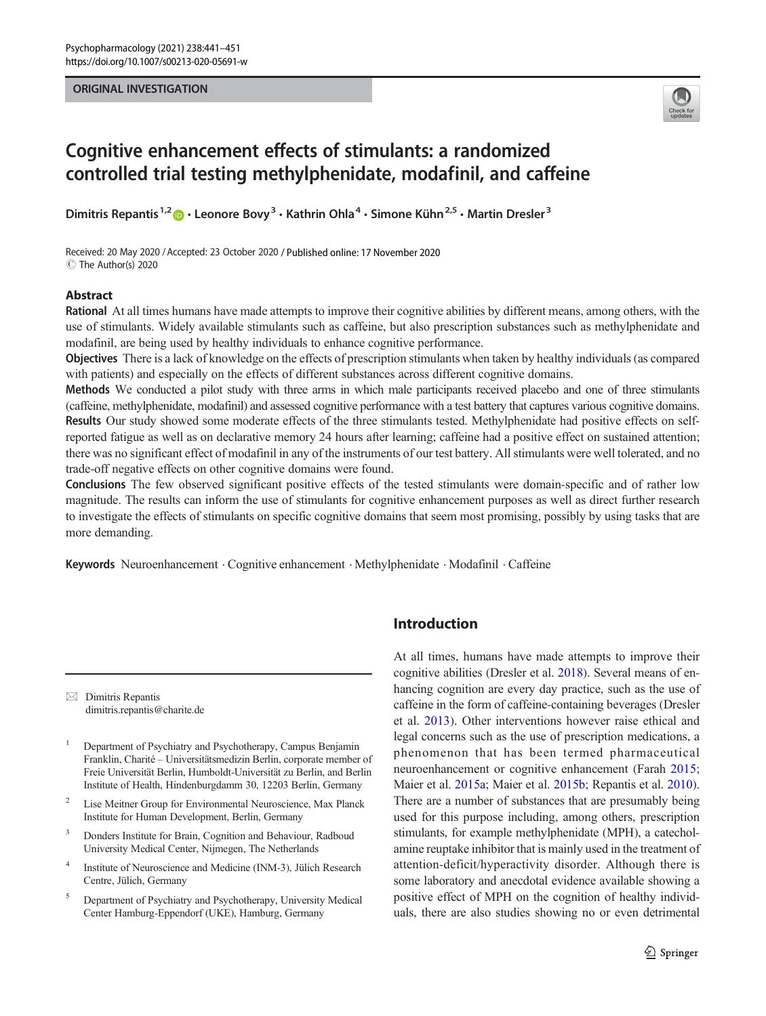#### ORIGINAL INVESTIGATION



# Cognitive enhancement effects of stimulants: a randomized controlled trial testing methylphenidate, modafinil, and caffeine

Dimitris Repantis<sup>1,2</sup>  $\bullet \cdot$  Leonore Bovy<sup>3</sup>  $\cdot$  Kathrin Ohla<sup>4</sup>  $\cdot$  Simone Kühn<sup>2,5</sup>  $\cdot$  Martin Dresler<sup>3</sup>

Received: 20 May 2020 / Accepted: 23 October 2020 / Published online: 17 November 2020 C The Author(s) 2020

#### Abstract

Rational At all times humans have made attempts to improve their cognitive abilities by different means, among others, with the use of stimulants. Widely available stimulants such as caffeine, but also prescription substances such as methylphenidate and modafinil, are being used by healthy individuals to enhance cognitive performance.

Objectives There is a lack of knowledge on the effects of prescription stimulants when taken by healthy individuals (as compared with patients) and especially on the effects of different substances across different cognitive domains.

Methods We conducted a pilot study with three arms in which male participants received placebo and one of three stimulants (caffeine, methylphenidate, modafinil) and assessed cognitive performance with a test battery that captures various cognitive domains. Results Our study showed some moderate effects of the three stimulants tested. Methylphenidate had positive effects on selfreported fatigue as well as on declarative memory 24 hours after learning; caffeine had a positive effect on sustained attention; there was no significant effect of modafinil in any of the instruments of our test battery. All stimulants were well tolerated, and no trade-off negative effects on other cognitive domains were found.

Conclusions The few observed significant positive effects of the tested stimulants were domain-specific and of rather low magnitude. The results can inform the use of stimulants for cognitive enhancement purposes as well as direct further research to investigate the effects of stimulants on specific cognitive domains that seem most promising, possibly by using tasks that are more demanding.

Keywords Neuroenhancement . Cognitive enhancement . Methylphenidate . Modafinil . Caffeine

 $\boxtimes$  Dimitris Repantis [dimitris.repantis@charite.de](mailto:dimitris.repantis@charite.de)

<sup>1</sup> Department of Psychiatry and Psychotherapy, Campus Benjamin Franklin, Charité – Universitätsmedizin Berlin, corporate member of Freie Universität Berlin, Humboldt-Universität zu Berlin, and Berlin Institute of Health, Hindenburgdamm 30, 12203 Berlin, Germany

- <sup>2</sup> Lise Meitner Group for Environmental Neuroscience, Max Planck Institute for Human Development, Berlin, Germany
- <sup>3</sup> Donders Institute for Brain, Cognition and Behaviour, Radboud University Medical Center, Nijmegen, The Netherlands
- <sup>4</sup> Institute of Neuroscience and Medicine (INM-3), Jülich Research Centre, Jülich, Germany
- <sup>5</sup> Department of Psychiatry and Psychotherapy, University Medical Center Hamburg-Eppendorf (UKE), Hamburg, Germany

# Introduction

At all times, humans have made attempts to improve their cognitive abilities (Dresler et al. [2018](#page-9-0)). Several means of enhancing cognition are every day practice, such as the use of caffeine in the form of caffeine-containing beverages (Dresler et al. [2013\)](#page-9-0). Other interventions however raise ethical and legal concerns such as the use of prescription medications, a phenomenon that has been termed pharmaceutical neuroenhancement or cognitive enhancement (Farah [2015;](#page-9-0) Maier et al. [2015a;](#page-9-0) Maier et al. [2015b](#page-9-0); Repantis et al. [2010\)](#page-10-0). There are a number of substances that are presumably being used for this purpose including, among others, prescription stimulants, for example methylphenidate (MPH), a catecholamine reuptake inhibitor that is mainly used in the treatment of attention-deficit/hyperactivity disorder. Although there is some laboratory and anecdotal evidence available showing a positive effect of MPH on the cognition of healthy individuals, there are also studies showing no or even detrimental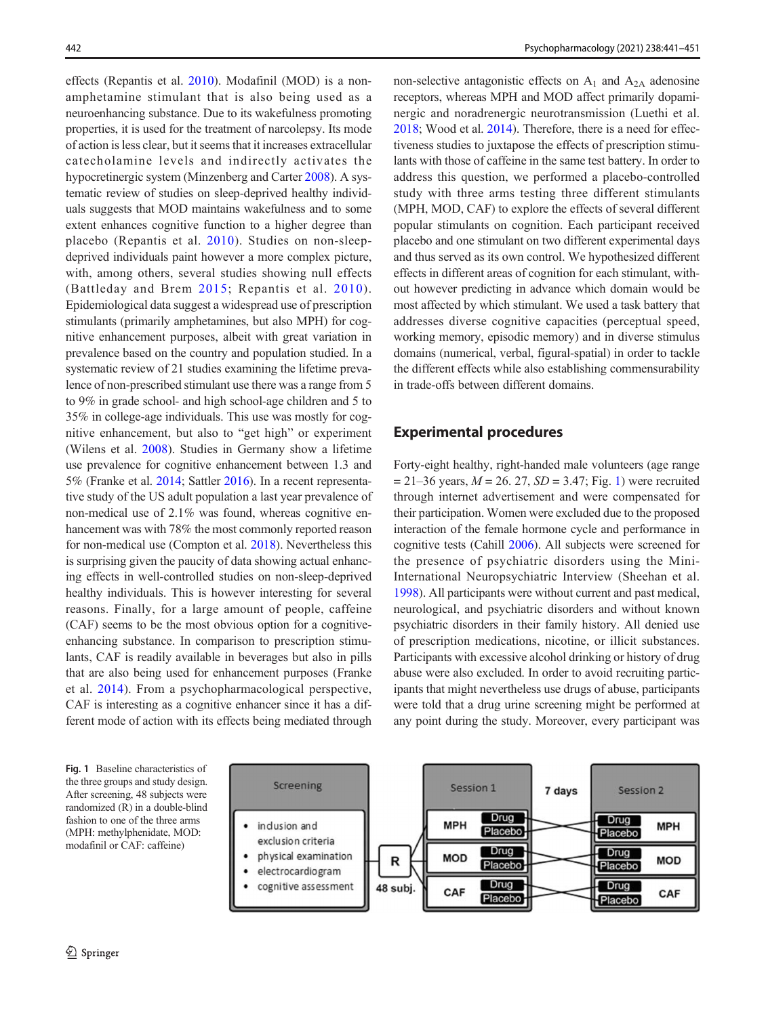<span id="page-1-0"></span>effects (Repantis et al. [2010](#page-10-0)). Modafinil (MOD) is a nonamphetamine stimulant that is also being used as a neuroenhancing substance. Due to its wakefulness promoting properties, it is used for the treatment of narcolepsy. Its mode of action is less clear, but it seems that it increases extracellular catecholamine levels and indirectly activates the hypocretinergic system (Minzenberg and Carter [2008\)](#page-10-0). A systematic review of studies on sleep-deprived healthy individuals suggests that MOD maintains wakefulness and to some extent enhances cognitive function to a higher degree than placebo (Repantis et al. [2010](#page-10-0)). Studies on non-sleepdeprived individuals paint however a more complex picture, with, among others, several studies showing null effects (Battleday and Brem [2015](#page-9-0); Repantis et al. [2010\)](#page-10-0). Epidemiological data suggest a widespread use of prescription stimulants (primarily amphetamines, but also MPH) for cognitive enhancement purposes, albeit with great variation in prevalence based on the country and population studied. In a systematic review of 21 studies examining the lifetime prevalence of non-prescribed stimulant use there was a range from 5 to 9% in grade school- and high school-age children and 5 to 35% in college-age individuals. This use was mostly for cognitive enhancement, but also to "get high" or experiment (Wilens et al. [2008\)](#page-10-0). Studies in Germany show a lifetime use prevalence for cognitive enhancement between 1.3 and 5% (Franke et al. [2014](#page-9-0); Sattler [2016\)](#page-10-0). In a recent representative study of the US adult population a last year prevalence of non-medical use of 2.1% was found, whereas cognitive enhancement was with 78% the most commonly reported reason for non-medical use (Compton et al. [2018\)](#page-9-0). Nevertheless this is surprising given the paucity of data showing actual enhancing effects in well-controlled studies on non-sleep-deprived healthy individuals. This is however interesting for several reasons. Finally, for a large amount of people, caffeine (CAF) seems to be the most obvious option for a cognitiveenhancing substance. In comparison to prescription stimulants, CAF is readily available in beverages but also in pills that are also being used for enhancement purposes (Franke et al. [2014](#page-9-0)). From a psychopharmacological perspective, CAF is interesting as a cognitive enhancer since it has a different mode of action with its effects being mediated through

non-selective antagonistic effects on  $A_1$  and  $A_{2A}$  adenosine receptors, whereas MPH and MOD affect primarily dopaminergic and noradrenergic neurotransmission (Luethi et al. [2018;](#page-9-0) Wood et al. [2014](#page-10-0)). Therefore, there is a need for effectiveness studies to juxtapose the effects of prescription stimulants with those of caffeine in the same test battery. In order to address this question, we performed a placebo-controlled study with three arms testing three different stimulants (MPH, MOD, CAF) to explore the effects of several different popular stimulants on cognition. Each participant received placebo and one stimulant on two different experimental days and thus served as its own control. We hypothesized different effects in different areas of cognition for each stimulant, without however predicting in advance which domain would be most affected by which stimulant. We used a task battery that addresses diverse cognitive capacities (perceptual speed, working memory, episodic memory) and in diverse stimulus domains (numerical, verbal, figural-spatial) in order to tackle the different effects while also establishing commensurability in trade-offs between different domains.

## Experimental procedures

Forty-eight healthy, right-handed male volunteers (age range  $= 21-36$  years,  $M = 26. 27$ ,  $SD = 3.47$ ; Fig. 1) were recruited through internet advertisement and were compensated for their participation. Women were excluded due to the proposed interaction of the female hormone cycle and performance in cognitive tests (Cahill [2006](#page-9-0)). All subjects were screened for the presence of psychiatric disorders using the Mini-International Neuropsychiatric Interview (Sheehan et al. [1998\)](#page-10-0). All participants were without current and past medical, neurological, and psychiatric disorders and without known psychiatric disorders in their family history. All denied use of prescription medications, nicotine, or illicit substances. Participants with excessive alcohol drinking or history of drug abuse were also excluded. In order to avoid recruiting participants that might nevertheless use drugs of abuse, participants were told that a drug urine screening might be performed at any point during the study. Moreover, every participant was

Fig. 1 Baseline characteristics of the three groups and study design. After screening, 48 subjects were randomized (R) in a double-blind fashion to one of the three arms (MPH: methylphenidate, MOD: modafinil or CAF: caffeine)

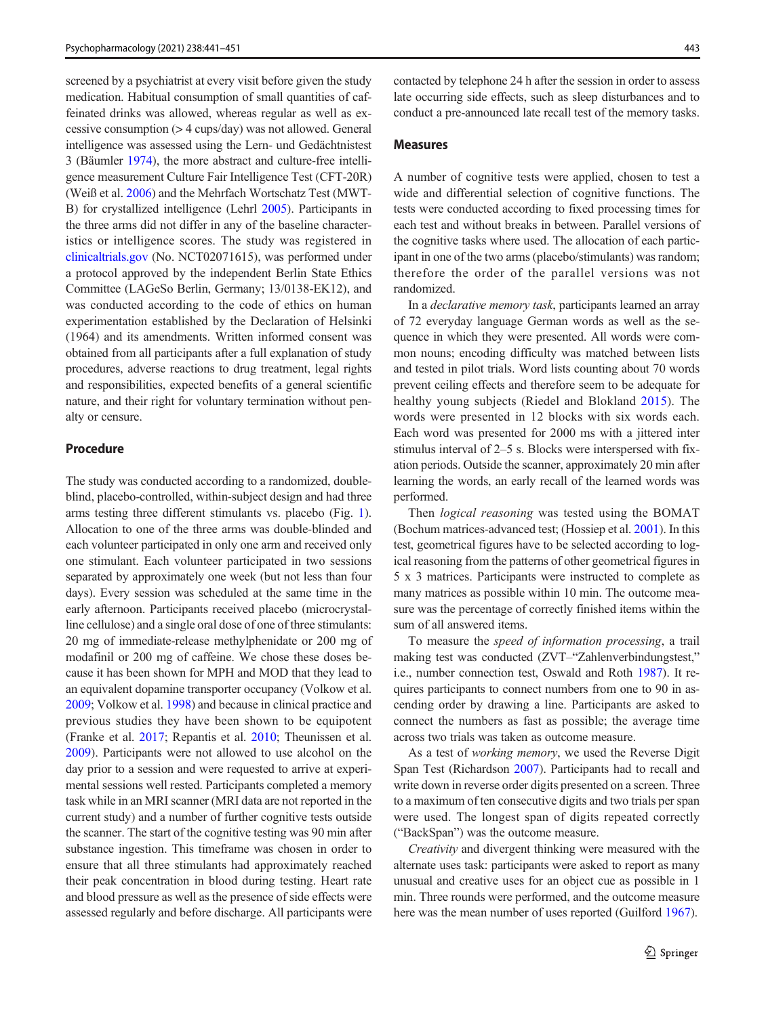screened by a psychiatrist at every visit before given the study medication. Habitual consumption of small quantities of caffeinated drinks was allowed, whereas regular as well as excessive consumption (> 4 cups/day) was not allowed. General intelligence was assessed using the Lern- und Gedächtnistest 3 (Bäumler [1974](#page-9-0)), the more abstract and culture-free intelligence measurement Culture Fair Intelligence Test (CFT-20R) (Weiß et al. [2006\)](#page-10-0) and the Mehrfach Wortschatz Test (MWT-B) for crystallized intelligence (Lehrl [2005](#page-9-0)). Participants in the three arms did not differ in any of the baseline characteristics or intelligence scores. The study was registered in [clinicaltrials.gov](http://clinicaltrials.gov) (No. NCT02071615), was performed under a protocol approved by the independent Berlin State Ethics Committee (LAGeSo Berlin, Germany; 13/0138-EK12), and was conducted according to the code of ethics on human experimentation established by the Declaration of Helsinki (1964) and its amendments. Written informed consent was obtained from all participants after a full explanation of study procedures, adverse reactions to drug treatment, legal rights and responsibilities, expected benefits of a general scientific nature, and their right for voluntary termination without penalty or censure.

## Procedure

The study was conducted according to a randomized, doubleblind, placebo-controlled, within-subject design and had three arms testing three different stimulants vs. placebo (Fig. [1](#page-1-0)). Allocation to one of the three arms was double-blinded and each volunteer participated in only one arm and received only one stimulant. Each volunteer participated in two sessions separated by approximately one week (but not less than four days). Every session was scheduled at the same time in the early afternoon. Participants received placebo (microcrystalline cellulose) and a single oral dose of one of three stimulants: 20 mg of immediate-release methylphenidate or 200 mg of modafinil or 200 mg of caffeine. We chose these doses because it has been shown for MPH and MOD that they lead to an equivalent dopamine transporter occupancy (Volkow et al. [2009;](#page-10-0) Volkow et al. [1998\)](#page-10-0) and because in clinical practice and previous studies they have been shown to be equipotent (Franke et al. [2017;](#page-9-0) Repantis et al. [2010;](#page-10-0) Theunissen et al. [2009\)](#page-10-0). Participants were not allowed to use alcohol on the day prior to a session and were requested to arrive at experimental sessions well rested. Participants completed a memory task while in an MRI scanner (MRI data are not reported in the current study) and a number of further cognitive tests outside the scanner. The start of the cognitive testing was 90 min after substance ingestion. This timeframe was chosen in order to ensure that all three stimulants had approximately reached their peak concentration in blood during testing. Heart rate and blood pressure as well as the presence of side effects were assessed regularly and before discharge. All participants were

contacted by telephone 24 h after the session in order to assess late occurring side effects, such as sleep disturbances and to conduct a pre-announced late recall test of the memory tasks.

#### Measures

A number of cognitive tests were applied, chosen to test a wide and differential selection of cognitive functions. The tests were conducted according to fixed processing times for each test and without breaks in between. Parallel versions of the cognitive tasks where used. The allocation of each participant in one of the two arms (placebo/stimulants) was random; therefore the order of the parallel versions was not randomized.

In a declarative memory task, participants learned an array of 72 everyday language German words as well as the sequence in which they were presented. All words were common nouns; encoding difficulty was matched between lists and tested in pilot trials. Word lists counting about 70 words prevent ceiling effects and therefore seem to be adequate for healthy young subjects (Riedel and Blokland [2015\)](#page-10-0). The words were presented in 12 blocks with six words each. Each word was presented for 2000 ms with a jittered inter stimulus interval of 2–5 s. Blocks were interspersed with fixation periods. Outside the scanner, approximately 20 min after learning the words, an early recall of the learned words was performed.

Then logical reasoning was tested using the BOMAT (Bochum matrices-advanced test; (Hossiep et al. [2001\)](#page-9-0). In this test, geometrical figures have to be selected according to logical reasoning from the patterns of other geometrical figures in 5 x 3 matrices. Participants were instructed to complete as many matrices as possible within 10 min. The outcome measure was the percentage of correctly finished items within the sum of all answered items.

To measure the speed of information processing, a trail making test was conducted (ZVT–"Zahlenverbindungstest," i.e., number connection test, Oswald and Roth [1987](#page-10-0)). It requires participants to connect numbers from one to 90 in ascending order by drawing a line. Participants are asked to connect the numbers as fast as possible; the average time across two trials was taken as outcome measure.

As a test of working memory, we used the Reverse Digit Span Test (Richardson [2007](#page-10-0)). Participants had to recall and write down in reverse order digits presented on a screen. Three to a maximum of ten consecutive digits and two trials per span were used. The longest span of digits repeated correctly ("BackSpan") was the outcome measure.

Creativity and divergent thinking were measured with the alternate uses task: participants were asked to report as many unusual and creative uses for an object cue as possible in 1 min. Three rounds were performed, and the outcome measure here was the mean number of uses reported (Guilford [1967](#page-9-0)).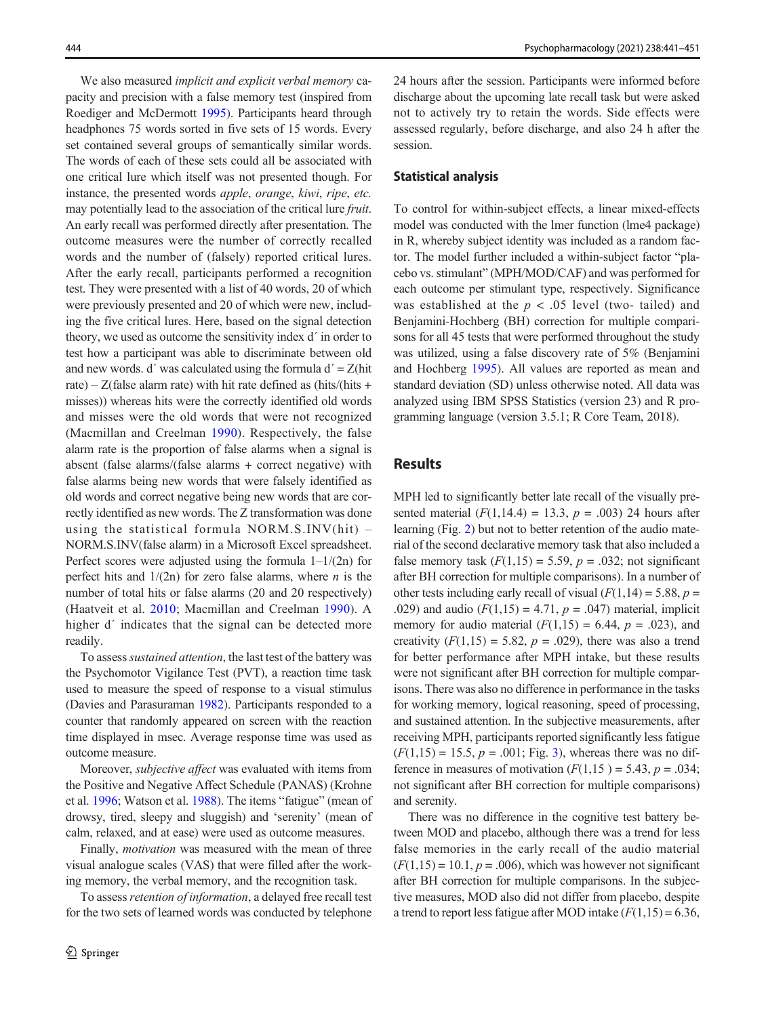We also measured *implicit and explicit verbal memory* capacity and precision with a false memory test (inspired from Roediger and McDermott [1995\)](#page-10-0). Participants heard through headphones 75 words sorted in five sets of 15 words. Every set contained several groups of semantically similar words. The words of each of these sets could all be associated with one critical lure which itself was not presented though. For instance, the presented words apple, orange, kiwi, ripe, etc. may potentially lead to the association of the critical lure fruit. An early recall was performed directly after presentation. The outcome measures were the number of correctly recalled words and the number of (falsely) reported critical lures. After the early recall, participants performed a recognition test. They were presented with a list of 40 words, 20 of which were previously presented and 20 of which were new, including the five critical lures. Here, based on the signal detection theory, we used as outcome the sensitivity index d´ in order to test how a participant was able to discriminate between old and new words. d' was calculated using the formula  $d' = Z$ (hit rate) –  $Z$ (false alarm rate) with hit rate defined as (hits/(hits + misses)) whereas hits were the correctly identified old words and misses were the old words that were not recognized (Macmillan and Creelman [1990\)](#page-9-0). Respectively, the false alarm rate is the proportion of false alarms when a signal is absent (false alarms/(false alarms + correct negative) with false alarms being new words that were falsely identified as old words and correct negative being new words that are correctly identified as new words. The Z transformation was done using the statistical formula NORM.S.INV(hit) – NORM.S.INV(false alarm) in a Microsoft Excel spreadsheet. Perfect scores were adjusted using the formula  $1-1/(2n)$  for perfect hits and  $1/(2n)$  for zero false alarms, where *n* is the number of total hits or false alarms (20 and 20 respectively) (Haatveit et al. [2010](#page-9-0); Macmillan and Creelman [1990](#page-9-0)). A higher d' indicates that the signal can be detected more readily.

To assess sustained attention, the last test of the battery was the Psychomotor Vigilance Test (PVT), a reaction time task used to measure the speed of response to a visual stimulus (Davies and Parasuraman [1982\)](#page-9-0). Participants responded to a counter that randomly appeared on screen with the reaction time displayed in msec. Average response time was used as outcome measure.

Moreover, subjective affect was evaluated with items from the Positive and Negative Affect Schedule (PANAS) (Krohne et al. [1996](#page-9-0); Watson et al. [1988\)](#page-10-0). The items "fatigue" (mean of drowsy, tired, sleepy and sluggish) and 'serenity' (mean of calm, relaxed, and at ease) were used as outcome measures.

Finally, motivation was measured with the mean of three visual analogue scales (VAS) that were filled after the working memory, the verbal memory, and the recognition task.

To assess retention of information, a delayed free recall test for the two sets of learned words was conducted by telephone

24 hours after the session. Participants were informed before discharge about the upcoming late recall task but were asked not to actively try to retain the words. Side effects were assessed regularly, before discharge, and also 24 h after the session.

#### Statistical analysis

To control for within-subject effects, a linear mixed-effects model was conducted with the lmer function (lme4 package) in R, whereby subject identity was included as a random factor. The model further included a within-subject factor "placebo vs. stimulant" (MPH/MOD/CAF) and was performed for each outcome per stimulant type, respectively. Significance was established at the  $p < .05$  level (two- tailed) and Benjamini-Hochberg (BH) correction for multiple comparisons for all 45 tests that were performed throughout the study was utilized, using a false discovery rate of 5% (Benjamini and Hochberg [1995\)](#page-9-0). All values are reported as mean and standard deviation (SD) unless otherwise noted. All data was analyzed using IBM SPSS Statistics (version 23) and R programming language (version 3.5.1; R Core Team, 2018).

## **Results**

MPH led to significantly better late recall of the visually presented material  $(F(1,14.4) = 13.3, p = .003)$  24 hours after learning (Fig. [2](#page-4-0)) but not to better retention of the audio material of the second declarative memory task that also included a false memory task  $(F(1,15) = 5.59, p = .032;$  not significant after BH correction for multiple comparisons). In a number of other tests including early recall of visual  $(F(1,14) = 5.88, p =$ .029) and audio  $(F(1,15) = 4.71, p = .047)$  material, implicit memory for audio material  $(F(1,15) = 6.44, p = .023)$ , and creativity  $(F(1,15) = 5.82, p = .029)$ , there was also a trend for better performance after MPH intake, but these results were not significant after BH correction for multiple comparisons. There was also no difference in performance in the tasks for working memory, logical reasoning, speed of processing, and sustained attention. In the subjective measurements, after receiving MPH, participants reported significantly less fatigue  $(F(1,15) = 15.5, p = .001; Fig. 3)$  $(F(1,15) = 15.5, p = .001; Fig. 3)$  $(F(1,15) = 15.5, p = .001; Fig. 3)$ , whereas there was no difference in measures of motivation  $(F(1,15) = 5.43, p = .034;$ not significant after BH correction for multiple comparisons) and serenity.

There was no difference in the cognitive test battery between MOD and placebo, although there was a trend for less false memories in the early recall of the audio material  $(F(1,15) = 10.1, p = .006)$ , which was however not significant after BH correction for multiple comparisons. In the subjective measures, MOD also did not differ from placebo, despite a trend to report less fatigue after MOD intake  $(F(1,15) = 6.36,$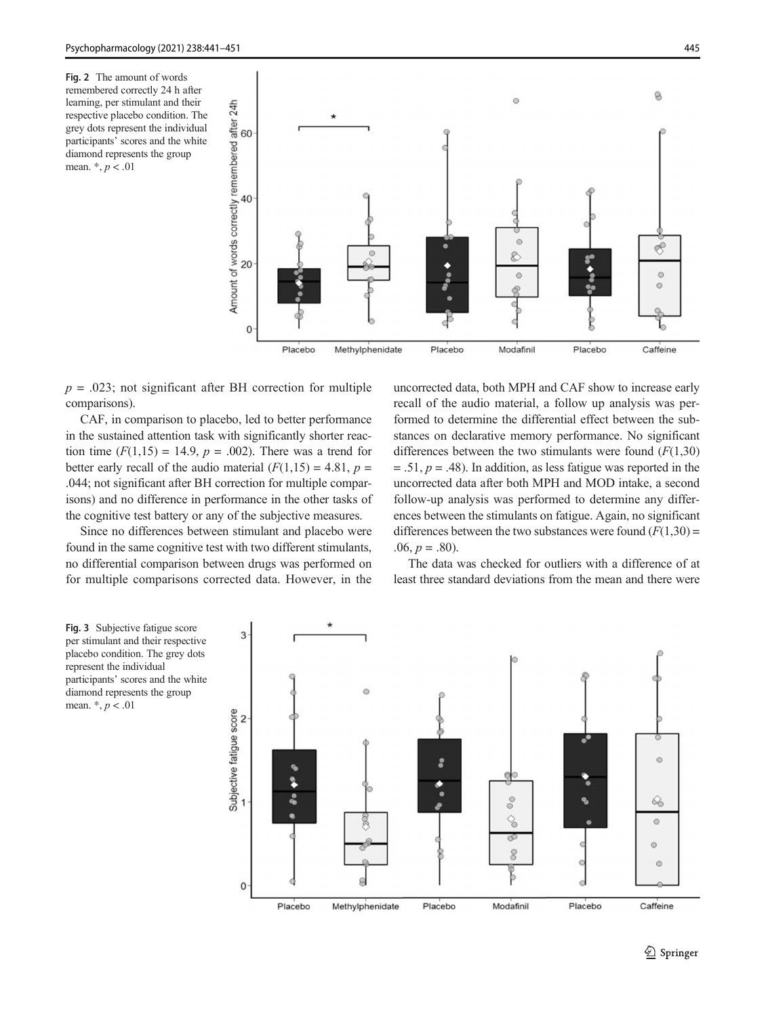<span id="page-4-0"></span>Fig. 2 The amount of words remembered correctly 24 h after learning, per stimulant and their respective placebo condition. The grey dots represent the individual participants' scores and the white diamond represents the group mean. \*, p < .01



 $p = .023$ ; not significant after BH correction for multiple comparisons).

CAF, in comparison to placebo, led to better performance in the sustained attention task with significantly shorter reaction time  $(F(1,15) = 14.9, p = .002)$ . There was a trend for better early recall of the audio material  $(F(1,15) = 4.81, p =$ .044; not significant after BH correction for multiple comparisons) and no difference in performance in the other tasks of the cognitive test battery or any of the subjective measures.

Since no differences between stimulant and placebo were found in the same cognitive test with two different stimulants, no differential comparison between drugs was performed on for multiple comparisons corrected data. However, in the uncorrected data, both MPH and CAF show to increase early recall of the audio material, a follow up analysis was performed to determine the differential effect between the substances on declarative memory performance. No significant differences between the two stimulants were found  $(F(1,30))$  $= .51, p = .48$ ). In addition, as less fatigue was reported in the uncorrected data after both MPH and MOD intake, a second follow-up analysis was performed to determine any differences between the stimulants on fatigue. Again, no significant differences between the two substances were found  $(F(1,30) =$  $.06, p = .80$ ).

The data was checked for outliers with a difference of at least three standard deviations from the mean and there were



Fig. 3 Subjective fatigue score per stimulant and their respective placebo condition. The grey dots represent the individual participants' scores and the white diamond represents the group mean.  $*, p < .01$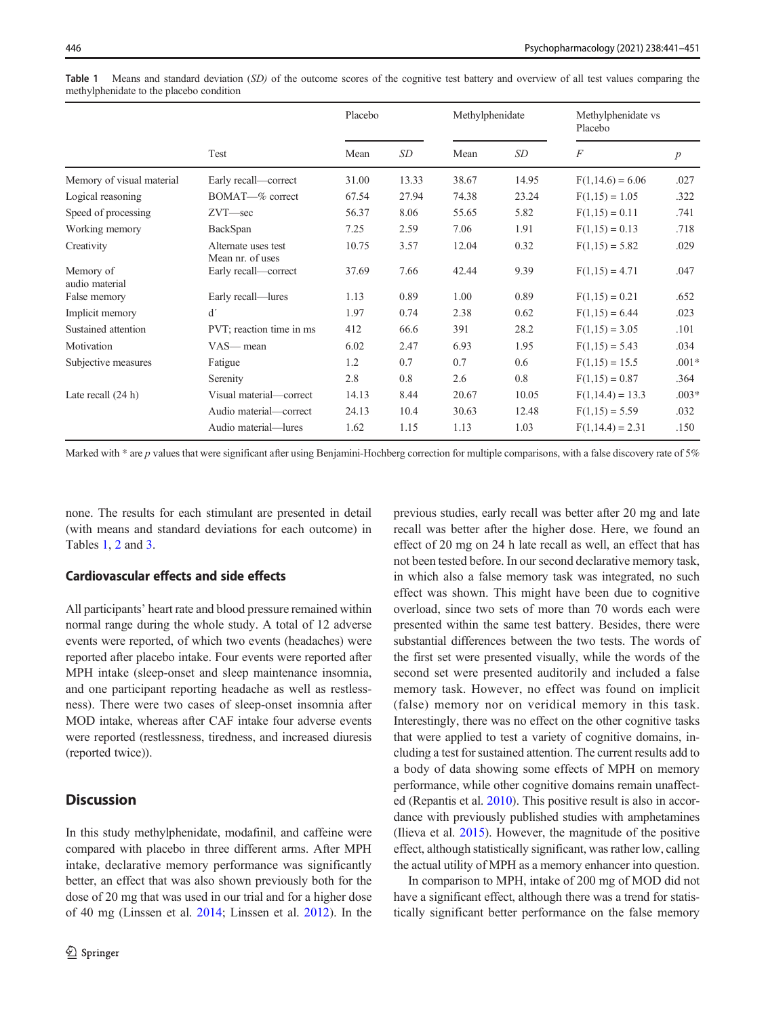|                             | Test                                    | Placebo |       | Methylphenidate |           | Methylphenidate vs<br>Placebo |                  |
|-----------------------------|-----------------------------------------|---------|-------|-----------------|-----------|-------------------------------|------------------|
|                             |                                         | Mean    | SD    | Mean            | <b>SD</b> | F                             | $\boldsymbol{p}$ |
| Memory of visual material   | Early recall-correct                    | 31.00   | 13.33 | 38.67           | 14.95     | $F(1,14.6) = 6.06$            | .027             |
| Logical reasoning           | BOMAT-% correct                         | 67.54   | 27.94 | 74.38           | 23.24     | $F(1,15) = 1.05$              | .322             |
| Speed of processing         | $ZVT$ -sec                              | 56.37   | 8.06  | 55.65           | 5.82      | $F(1,15) = 0.11$              | .741             |
| Working memory              | BackSpan                                | 7.25    | 2.59  | 7.06            | 1.91      | $F(1,15) = 0.13$              | .718             |
| Creativity                  | Alternate uses test<br>Mean nr. of uses | 10.75   | 3.57  | 12.04           | 0.32      | $F(1,15) = 5.82$              | .029             |
| Memory of<br>audio material | Early recall-correct                    | 37.69   | 7.66  | 42.44           | 9.39      | $F(1,15) = 4.71$              | .047             |
| False memory                | Early recall—lures                      | 1.13    | 0.89  | 1.00            | 0.89      | $F(1,15) = 0.21$              | .652             |
| Implicit memory             | d'                                      | 1.97    | 0.74  | 2.38            | 0.62      | $F(1,15) = 6.44$              | .023             |
| Sustained attention         | PVT; reaction time in ms                | 412     | 66.6  | 391             | 28.2      | $F(1,15) = 3.05$              | .101             |
| Motivation                  | $VAS$ — mean                            | 6.02    | 2.47  | 6.93            | 1.95      | $F(1,15) = 5.43$              | .034             |
| Subjective measures         | Fatigue                                 | 1.2     | 0.7   | 0.7             | 0.6       | $F(1,15) = 15.5$              | $.001*$          |
|                             | Serenity                                | 2.8     | 0.8   | 2.6             | 0.8       | $F(1,15) = 0.87$              | .364             |
| Late recall $(24 h)$        | Visual material—correct                 | 14.13   | 8.44  | 20.67           | 10.05     | $F(1,14.4) = 13.3$            | $.003*$          |
|                             | Audio material-correct                  | 24.13   | 10.4  | 30.63           | 12.48     | $F(1,15) = 5.59$              | .032             |
|                             | Audio material—lures                    | 1.62    | 1.15  | 1.13            | 1.03      | $F(1,14.4) = 2.31$            | .150             |

Table 1 Means and standard deviation (SD) of the outcome scores of the cognitive test battery and overview of all test values comparing the methylphenidate to the placebo condition

Marked with  $*$  are p values that were significant after using Benjamini-Hochberg correction for multiple comparisons, with a false discovery rate of 5%

none. The results for each stimulant are presented in detail (with means and standard deviations for each outcome) in Tables 1, [2](#page-6-0) and [3.](#page-7-0)

## Cardiovascular effects and side effects

All participants' heart rate and blood pressure remained within normal range during the whole study. A total of 12 adverse events were reported, of which two events (headaches) were reported after placebo intake. Four events were reported after MPH intake (sleep-onset and sleep maintenance insomnia, and one participant reporting headache as well as restlessness). There were two cases of sleep-onset insomnia after MOD intake, whereas after CAF intake four adverse events were reported (restlessness, tiredness, and increased diuresis (reported twice)).

# **Discussion**

In this study methylphenidate, modafinil, and caffeine were compared with placebo in three different arms. After MPH intake, declarative memory performance was significantly better, an effect that was also shown previously both for the dose of 20 mg that was used in our trial and for a higher dose of 40 mg (Linssen et al. [2014;](#page-9-0) Linssen et al. [2012](#page-9-0)). In the previous studies, early recall was better after 20 mg and late recall was better after the higher dose. Here, we found an effect of 20 mg on 24 h late recall as well, an effect that has not been tested before. In our second declarative memory task, in which also a false memory task was integrated, no such effect was shown. This might have been due to cognitive overload, since two sets of more than 70 words each were presented within the same test battery. Besides, there were substantial differences between the two tests. The words of the first set were presented visually, while the words of the second set were presented auditorily and included a false memory task. However, no effect was found on implicit (false) memory nor on veridical memory in this task. Interestingly, there was no effect on the other cognitive tasks that were applied to test a variety of cognitive domains, including a test for sustained attention. The current results add to a body of data showing some effects of MPH on memory performance, while other cognitive domains remain unaffected (Repantis et al. [2010](#page-10-0)). This positive result is also in accordance with previously published studies with amphetamines (Ilieva et al. [2015](#page-9-0)). However, the magnitude of the positive effect, although statistically significant, was rather low, calling the actual utility of MPH as a memory enhancer into question.

In comparison to MPH, intake of 200 mg of MOD did not have a significant effect, although there was a trend for statistically significant better performance on the false memory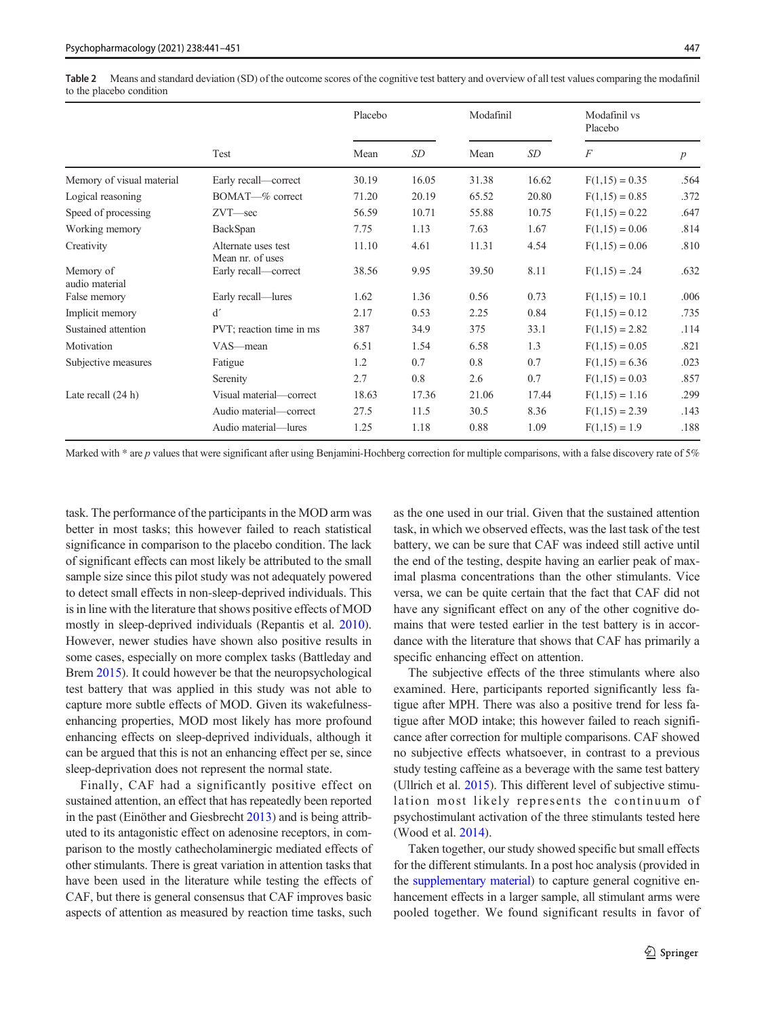<span id="page-6-0"></span>

|                             | Test                                    | Placebo |       | Modafinil |       | Modafinil vs<br>Placebo |                  |
|-----------------------------|-----------------------------------------|---------|-------|-----------|-------|-------------------------|------------------|
|                             |                                         | Mean    | SD    | Mean      | SD    | $\overline{F}$          | $\boldsymbol{p}$ |
| Memory of visual material   | Early recall-correct                    | 30.19   | 16.05 | 31.38     | 16.62 | $F(1,15) = 0.35$        | .564             |
| Logical reasoning           | BOMAT—% correct                         | 71.20   | 20.19 | 65.52     | 20.80 | $F(1,15) = 0.85$        | .372             |
| Speed of processing         | $ZVT$ -sec                              | 56.59   | 10.71 | 55.88     | 10.75 | $F(1,15) = 0.22$        | .647             |
| Working memory              | BackSpan                                | 7.75    | 1.13  | 7.63      | 1.67  | $F(1,15) = 0.06$        | .814             |
| Creativity                  | Alternate uses test<br>Mean nr. of uses | 11.10   | 4.61  | 11.31     | 4.54  | $F(1,15) = 0.06$        | .810             |
| Memory of<br>audio material | Early recall-correct                    | 38.56   | 9.95  | 39.50     | 8.11  | $F(1,15) = .24$         | .632             |
| False memory                | Early recall—lures                      | 1.62    | 1.36  | 0.56      | 0.73  | $F(1,15) = 10.1$        | .006             |
| Implicit memory             | d'                                      | 2.17    | 0.53  | 2.25      | 0.84  | $F(1,15) = 0.12$        | .735             |
| Sustained attention         | PVT; reaction time in ms                | 387     | 34.9  | 375       | 33.1  | $F(1,15) = 2.82$        | .114             |
| Motivation                  | VAS—mean                                | 6.51    | 1.54  | 6.58      | 1.3   | $F(1,15) = 0.05$        | .821             |
| Subjective measures         | Fatigue                                 | 1.2     | 0.7   | 0.8       | 0.7   | $F(1,15) = 6.36$        | .023             |
|                             | Serenity                                | 2.7     | 0.8   | 2.6       | 0.7   | $F(1,15) = 0.03$        | .857             |
| Late recall $(24 h)$        | Visual material—correct                 | 18.63   | 17.36 | 21.06     | 17.44 | $F(1,15) = 1.16$        | .299             |
|                             | Audio material—correct                  | 27.5    | 11.5  | 30.5      | 8.36  | $F(1,15) = 2.39$        | .143             |
|                             | Audio material—lures                    | 1.25    | 1.18  | 0.88      | 1.09  | $F(1,15) = 1.9$         | .188             |

Marked with  $*$  are p values that were significant after using Benjamini-Hochberg correction for multiple comparisons, with a false discovery rate of 5%

task. The performance of the participants in the MOD arm was better in most tasks; this however failed to reach statistical significance in comparison to the placebo condition. The lack of significant effects can most likely be attributed to the small sample size since this pilot study was not adequately powered to detect small effects in non-sleep-deprived individuals. This is in line with the literature that shows positive effects of MOD mostly in sleep-deprived individuals (Repantis et al. [2010](#page-10-0)). However, newer studies have shown also positive results in some cases, especially on more complex tasks (Battleday and Brem [2015\)](#page-9-0). It could however be that the neuropsychological test battery that was applied in this study was not able to capture more subtle effects of MOD. Given its wakefulnessenhancing properties, MOD most likely has more profound enhancing effects on sleep-deprived individuals, although it can be argued that this is not an enhancing effect per se, since sleep-deprivation does not represent the normal state.

Finally, CAF had a significantly positive effect on sustained attention, an effect that has repeatedly been reported in the past (Einöther and Giesbrecht [2013](#page-9-0)) and is being attributed to its antagonistic effect on adenosine receptors, in comparison to the mostly cathecholaminergic mediated effects of other stimulants. There is great variation in attention tasks that have been used in the literature while testing the effects of CAF, but there is general consensus that CAF improves basic aspects of attention as measured by reaction time tasks, such

as the one used in our trial. Given that the sustained attention task, in which we observed effects, was the last task of the test battery, we can be sure that CAF was indeed still active until the end of the testing, despite having an earlier peak of maximal plasma concentrations than the other stimulants. Vice versa, we can be quite certain that the fact that CAF did not have any significant effect on any of the other cognitive domains that were tested earlier in the test battery is in accordance with the literature that shows that CAF has primarily a specific enhancing effect on attention.

The subjective effects of the three stimulants where also examined. Here, participants reported significantly less fatigue after MPH. There was also a positive trend for less fatigue after MOD intake; this however failed to reach significance after correction for multiple comparisons. CAF showed no subjective effects whatsoever, in contrast to a previous study testing caffeine as a beverage with the same test battery (Ullrich et al. [2015\)](#page-10-0). This different level of subjective stimulation most likely represents the continuum of psychostimulant activation of the three stimulants tested here (Wood et al. [2014\)](#page-10-0).

Taken together, our study showed specific but small effects for the different stimulants. In a post hoc analysis (provided in the supplementary material) to capture general cognitive enhancement effects in a larger sample, all stimulant arms were pooled together. We found significant results in favor of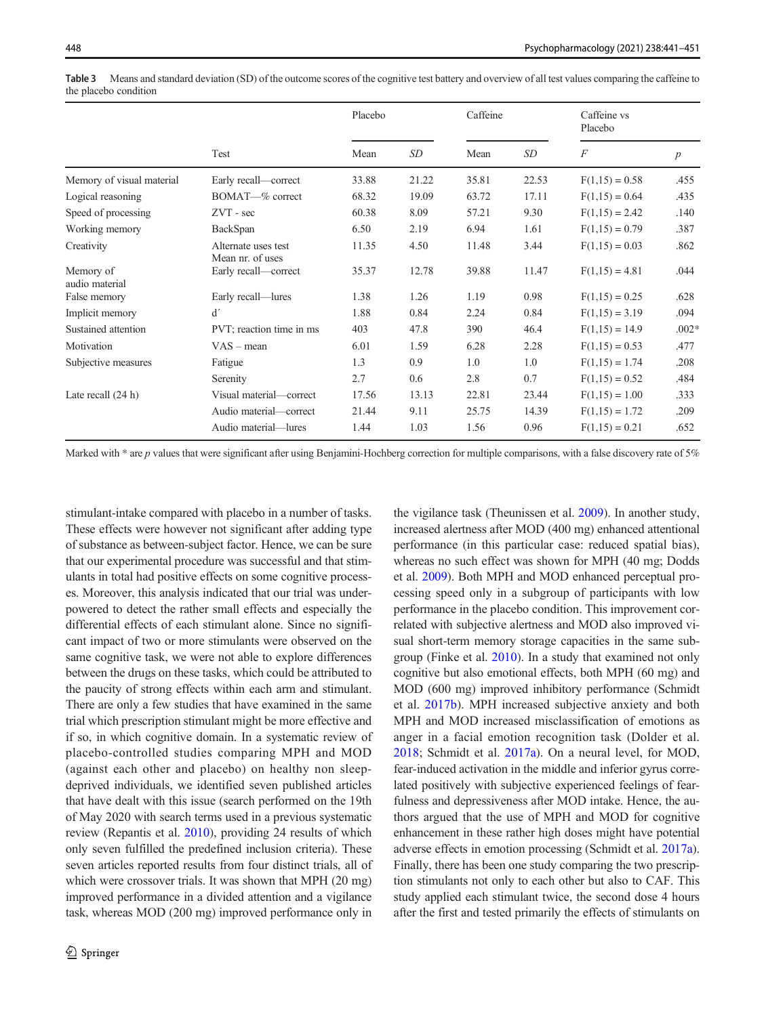|                             | Test                                    | Placebo |       | Caffeine |       | Caffeine vs<br>Placebo |                  |
|-----------------------------|-----------------------------------------|---------|-------|----------|-------|------------------------|------------------|
|                             |                                         | Mean    | SD    | Mean     | SD    | $\overline{F}$         | $\boldsymbol{p}$ |
| Memory of visual material   | Early recall—correct                    | 33.88   | 21.22 | 35.81    | 22.53 | $F(1,15) = 0.58$       | .455             |
| Logical reasoning           | BOMAT-% correct                         | 68.32   | 19.09 | 63.72    | 17.11 | $F(1,15) = 0.64$       | .435             |
| Speed of processing         | $ZVT - sec$                             | 60.38   | 8.09  | 57.21    | 9.30  | $F(1,15) = 2.42$       | .140             |
| Working memory              | BackSpan                                | 6.50    | 2.19  | 6.94     | 1.61  | $F(1,15) = 0.79$       | .387             |
| Creativity                  | Alternate uses test<br>Mean nr. of uses | 11.35   | 4.50  | 11.48    | 3.44  | $F(1,15) = 0.03$       | .862             |
| Memory of<br>audio material | Early recall-correct                    | 35.37   | 12.78 | 39.88    | 11.47 | $F(1,15) = 4.81$       | .044             |
| False memory                | Early recall—lures                      | 1.38    | 1.26  | 1.19     | 0.98  | $F(1,15) = 0.25$       | .628             |
| Implicit memory             | d'                                      | 1.88    | 0.84  | 2.24     | 0.84  | $F(1,15) = 3.19$       | .094             |
| Sustained attention         | PVT; reaction time in ms                | 403     | 47.8  | 390      | 46.4  | $F(1,15) = 14.9$       | $.002*$          |
| Motivation                  | $VAS - mean$                            | 6.01    | 1.59  | 6.28     | 2.28  | $F(1,15) = 0.53$       | .477             |
| Subjective measures         | Fatigue                                 | 1.3     | 0.9   | 1.0      | 1.0   | $F(1,15) = 1.74$       | .208             |
|                             | Serenity                                | 2.7     | 0.6   | 2.8      | 0.7   | $F(1,15) = 0.52$       | .484             |
| Late recall $(24 h)$        | Visual material—correct                 | 17.56   | 13.13 | 22.81    | 23.44 | $F(1,15) = 1.00$       | .333             |
|                             | Audio material-correct                  | 21.44   | 9.11  | 25.75    | 14.39 | $F(1,15) = 1.72$       | .209             |
|                             | Audio material—lures                    | 1.44    | 1.03  | 1.56     | 0.96  | $F(1,15) = 0.21$       | .652             |

<span id="page-7-0"></span>Table 3 Means and standard deviation (SD) of the outcome scores of the cognitive test battery and overview of all test values comparing the caffeine to the placebo condition

Marked with  $*$  are p values that were significant after using Benjamini-Hochberg correction for multiple comparisons, with a false discovery rate of 5%

stimulant-intake compared with placebo in a number of tasks. These effects were however not significant after adding type of substance as between-subject factor. Hence, we can be sure that our experimental procedure was successful and that stimulants in total had positive effects on some cognitive processes. Moreover, this analysis indicated that our trial was underpowered to detect the rather small effects and especially the differential effects of each stimulant alone. Since no significant impact of two or more stimulants were observed on the same cognitive task, we were not able to explore differences between the drugs on these tasks, which could be attributed to the paucity of strong effects within each arm and stimulant. There are only a few studies that have examined in the same trial which prescription stimulant might be more effective and if so, in which cognitive domain. In a systematic review of placebo-controlled studies comparing MPH and MOD (against each other and placebo) on healthy non sleepdeprived individuals, we identified seven published articles that have dealt with this issue (search performed on the 19th of May 2020 with search terms used in a previous systematic review (Repantis et al. [2010\)](#page-10-0), providing 24 results of which only seven fulfilled the predefined inclusion criteria). These seven articles reported results from four distinct trials, all of which were crossover trials. It was shown that MPH (20 mg) improved performance in a divided attention and a vigilance task, whereas MOD (200 mg) improved performance only in

the vigilance task (Theunissen et al. [2009](#page-10-0)). In another study, increased alertness after MOD (400 mg) enhanced attentional performance (in this particular case: reduced spatial bias), whereas no such effect was shown for MPH (40 mg; Dodds et al. [2009\)](#page-9-0). Both MPH and MOD enhanced perceptual processing speed only in a subgroup of participants with low performance in the placebo condition. This improvement correlated with subjective alertness and MOD also improved visual short-term memory storage capacities in the same subgroup (Finke et al. [2010](#page-9-0)). In a study that examined not only cognitive but also emotional effects, both MPH (60 mg) and MOD (600 mg) improved inhibitory performance (Schmidt et al. [2017b](#page-10-0)). MPH increased subjective anxiety and both MPH and MOD increased misclassification of emotions as anger in a facial emotion recognition task (Dolder et al. [2018;](#page-9-0) Schmidt et al. [2017a\)](#page-10-0). On a neural level, for MOD, fear-induced activation in the middle and inferior gyrus correlated positively with subjective experienced feelings of fearfulness and depressiveness after MOD intake. Hence, the authors argued that the use of MPH and MOD for cognitive enhancement in these rather high doses might have potential adverse effects in emotion processing (Schmidt et al. [2017a\)](#page-10-0). Finally, there has been one study comparing the two prescription stimulants not only to each other but also to CAF. This study applied each stimulant twice, the second dose 4 hours after the first and tested primarily the effects of stimulants on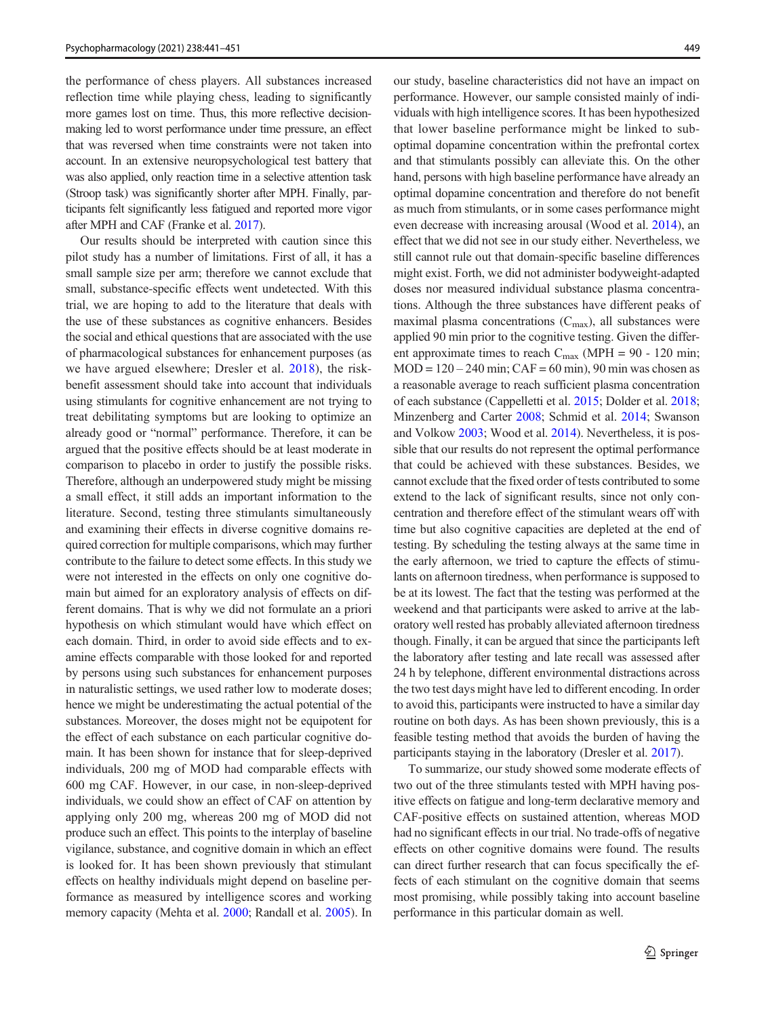the performance of chess players. All substances increased reflection time while playing chess, leading to significantly more games lost on time. Thus, this more reflective decisionmaking led to worst performance under time pressure, an effect that was reversed when time constraints were not taken into account. In an extensive neuropsychological test battery that was also applied, only reaction time in a selective attention task (Stroop task) was significantly shorter after MPH. Finally, participants felt significantly less fatigued and reported more vigor after MPH and CAF (Franke et al. [2017](#page-9-0)).

Our results should be interpreted with caution since this pilot study has a number of limitations. First of all, it has a small sample size per arm; therefore we cannot exclude that small, substance-specific effects went undetected. With this trial, we are hoping to add to the literature that deals with the use of these substances as cognitive enhancers. Besides the social and ethical questions that are associated with the use of pharmacological substances for enhancement purposes (as we have argued elsewhere; Dresler et al. [2018](#page-9-0)), the riskbenefit assessment should take into account that individuals using stimulants for cognitive enhancement are not trying to treat debilitating symptoms but are looking to optimize an already good or "normal" performance. Therefore, it can be argued that the positive effects should be at least moderate in comparison to placebo in order to justify the possible risks. Therefore, although an underpowered study might be missing a small effect, it still adds an important information to the literature. Second, testing three stimulants simultaneously and examining their effects in diverse cognitive domains required correction for multiple comparisons, which may further contribute to the failure to detect some effects. In this study we were not interested in the effects on only one cognitive domain but aimed for an exploratory analysis of effects on different domains. That is why we did not formulate an a priori hypothesis on which stimulant would have which effect on each domain. Third, in order to avoid side effects and to examine effects comparable with those looked for and reported by persons using such substances for enhancement purposes in naturalistic settings, we used rather low to moderate doses; hence we might be underestimating the actual potential of the substances. Moreover, the doses might not be equipotent for the effect of each substance on each particular cognitive domain. It has been shown for instance that for sleep-deprived individuals, 200 mg of MOD had comparable effects with 600 mg CAF. However, in our case, in non-sleep-deprived individuals, we could show an effect of CAF on attention by applying only 200 mg, whereas 200 mg of MOD did not produce such an effect. This points to the interplay of baseline vigilance, substance, and cognitive domain in which an effect is looked for. It has been shown previously that stimulant effects on healthy individuals might depend on baseline performance as measured by intelligence scores and working memory capacity (Mehta et al. [2000](#page-10-0); Randall et al. [2005\)](#page-10-0). In our study, baseline characteristics did not have an impact on performance. However, our sample consisted mainly of individuals with high intelligence scores. It has been hypothesized that lower baseline performance might be linked to suboptimal dopamine concentration within the prefrontal cortex and that stimulants possibly can alleviate this. On the other hand, persons with high baseline performance have already an optimal dopamine concentration and therefore do not benefit as much from stimulants, or in some cases performance might even decrease with increasing arousal (Wood et al. [2014\)](#page-10-0), an effect that we did not see in our study either. Nevertheless, we still cannot rule out that domain-specific baseline differences might exist. Forth, we did not administer bodyweight-adapted doses nor measured individual substance plasma concentrations. Although the three substances have different peaks of maximal plasma concentrations  $(C_{\text{max}})$ , all substances were applied 90 min prior to the cognitive testing. Given the different approximate times to reach  $C_{\text{max}}$  (MPH = 90 - 120 min;  $MOD = 120 - 240$  min;  $CAF = 60$  min), 90 min was chosen as a reasonable average to reach sufficient plasma concentration of each substance (Cappelletti et al. [2015](#page-9-0); Dolder et al. [2018;](#page-9-0) Minzenberg and Carter [2008;](#page-10-0) Schmid et al. [2014;](#page-10-0) Swanson and Volkow [2003](#page-10-0); Wood et al. [2014](#page-10-0)). Nevertheless, it is possible that our results do not represent the optimal performance that could be achieved with these substances. Besides, we cannot exclude that the fixed order of tests contributed to some extend to the lack of significant results, since not only concentration and therefore effect of the stimulant wears off with time but also cognitive capacities are depleted at the end of testing. By scheduling the testing always at the same time in the early afternoon, we tried to capture the effects of stimulants on afternoon tiredness, when performance is supposed to be at its lowest. The fact that the testing was performed at the weekend and that participants were asked to arrive at the laboratory well rested has probably alleviated afternoon tiredness though. Finally, it can be argued that since the participants left the laboratory after testing and late recall was assessed after 24 h by telephone, different environmental distractions across the two test days might have led to different encoding. In order to avoid this, participants were instructed to have a similar day routine on both days. As has been shown previously, this is a feasible testing method that avoids the burden of having the participants staying in the laboratory (Dresler et al. [2017](#page-9-0)).

To summarize, our study showed some moderate effects of two out of the three stimulants tested with MPH having positive effects on fatigue and long-term declarative memory and CAF-positive effects on sustained attention, whereas MOD had no significant effects in our trial. No trade-offs of negative effects on other cognitive domains were found. The results can direct further research that can focus specifically the effects of each stimulant on the cognitive domain that seems most promising, while possibly taking into account baseline performance in this particular domain as well.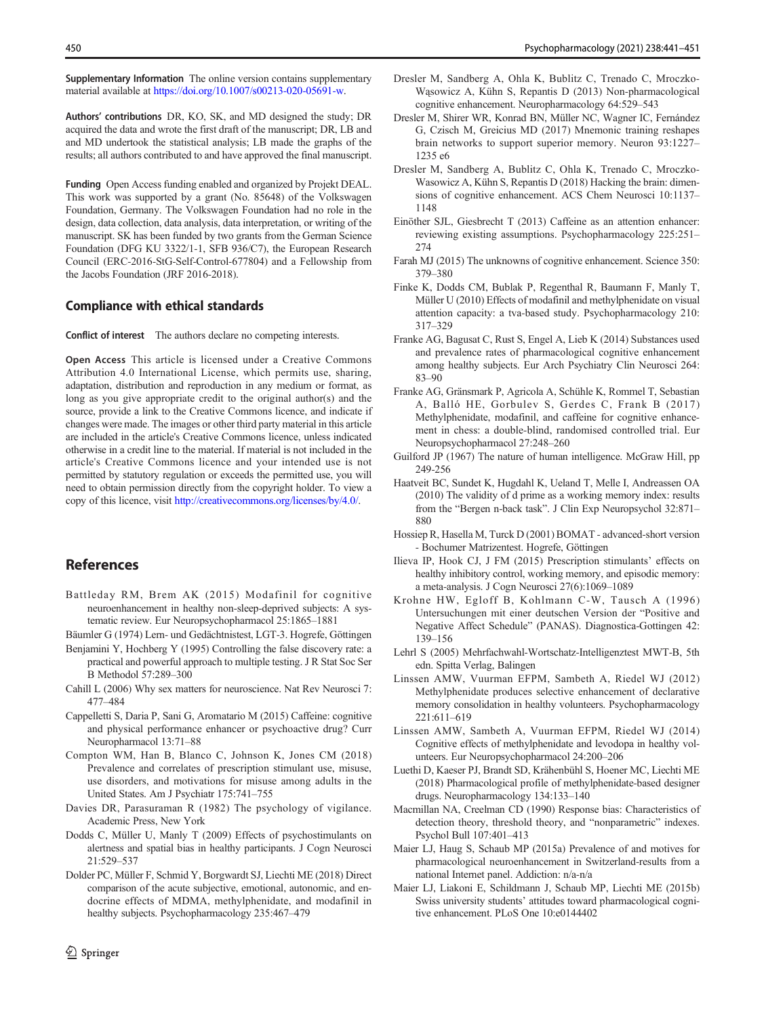<span id="page-9-0"></span>Supplementary Information The online version contains supplementary material available at [https://doi.org/10.1007/s00213-020-05691-w](https://doi.org/).

Authors' contributions DR, KO, SK, and MD designed the study; DR acquired the data and wrote the first draft of the manuscript; DR, LB and and MD undertook the statistical analysis; LB made the graphs of the results; all authors contributed to and have approved the final manuscript.

Funding Open Access funding enabled and organized by Projekt DEAL. This work was supported by a grant (No. 85648) of the Volkswagen Foundation, Germany. The Volkswagen Foundation had no role in the design, data collection, data analysis, data interpretation, or writing of the manuscript. SK has been funded by two grants from the German Science Foundation (DFG KU 3322/1-1, SFB 936/C7), the European Research Council (ERC-2016-StG-Self-Control-677804) and a Fellowship from the Jacobs Foundation (JRF 2016-2018).

#### Compliance with ethical standards

Conflict of interest The authors declare no competing interests.

Open Access This article is licensed under a Creative Commons Attribution 4.0 International License, which permits use, sharing, adaptation, distribution and reproduction in any medium or format, as long as you give appropriate credit to the original author(s) and the source, provide a link to the Creative Commons licence, and indicate if changes were made. The images or other third party material in this article are included in the article's Creative Commons licence, unless indicated otherwise in a credit line to the material. If material is not included in the article's Creative Commons licence and your intended use is not permitted by statutory regulation or exceeds the permitted use, you will need to obtain permission directly from the copyright holder. To view a copy of this licence, visit [http://creativecommons.org/licenses/by/4.0/.](https://doi.org/)

#### References

- Battleday RM, Brem AK (2015) Modafinil for cognitive neuroenhancement in healthy non-sleep-deprived subjects: A systematic review. Eur Neuropsychopharmacol 25:1865–1881
- Bäumler G (1974) Lern- und Gedächtnistest, LGT-3. Hogrefe, Göttingen
- Benjamini Y, Hochberg Y (1995) Controlling the false discovery rate: a practical and powerful approach to multiple testing. J R Stat Soc Ser B Methodol 57:289–300
- Cahill L (2006) Why sex matters for neuroscience. Nat Rev Neurosci 7: 477–484
- Cappelletti S, Daria P, Sani G, Aromatario M (2015) Caffeine: cognitive and physical performance enhancer or psychoactive drug? Curr Neuropharmacol 13:71–88
- Compton WM, Han B, Blanco C, Johnson K, Jones CM (2018) Prevalence and correlates of prescription stimulant use, misuse, use disorders, and motivations for misuse among adults in the United States. Am J Psychiatr 175:741–755
- Davies DR, Parasuraman R (1982) The psychology of vigilance. Academic Press, New York
- Dodds C, Müller U, Manly T (2009) Effects of psychostimulants on alertness and spatial bias in healthy participants. J Cogn Neurosci 21:529–537
- Dolder PC, Müller F, Schmid Y, Borgwardt SJ, Liechti ME (2018) Direct comparison of the acute subjective, emotional, autonomic, and endocrine effects of MDMA, methylphenidate, and modafinil in healthy subjects. Psychopharmacology 235:467–479
- Dresler M, Shirer WR, Konrad BN, Müller NC, Wagner IC, Fernández G, Czisch M, Greicius MD (2017) Mnemonic training reshapes brain networks to support superior memory. Neuron 93:1227– 1235 e6
- Dresler M, Sandberg A, Bublitz C, Ohla K, Trenado C, Mroczko-Wasowicz A, Kühn S, Repantis D (2018) Hacking the brain: dimensions of cognitive enhancement. ACS Chem Neurosci 10:1137– 1148
- Einöther SJL, Giesbrecht T (2013) Caffeine as an attention enhancer: reviewing existing assumptions. Psychopharmacology 225:251– 274
- Farah MJ (2015) The unknowns of cognitive enhancement. Science 350: 379–380
- Finke K, Dodds CM, Bublak P, Regenthal R, Baumann F, Manly T, Müller U (2010) Effects of modafinil and methylphenidate on visual attention capacity: a tva-based study. Psychopharmacology 210: 317–329
- Franke AG, Bagusat C, Rust S, Engel A, Lieb K (2014) Substances used and prevalence rates of pharmacological cognitive enhancement among healthy subjects. Eur Arch Psychiatry Clin Neurosci 264: 83–90
- Franke AG, Gränsmark P, Agricola A, Schühle K, Rommel T, Sebastian A, Balló HE, Gorbulev S, Gerdes C, Frank B (2017) Methylphenidate, modafinil, and caffeine for cognitive enhancement in chess: a double-blind, randomised controlled trial. Eur Neuropsychopharmacol 27:248–260
- Guilford JP (1967) The nature of human intelligence. McGraw Hill, pp 249-256
- Haatveit BC, Sundet K, Hugdahl K, Ueland T, Melle I, Andreassen OA (2010) The validity of d prime as a working memory index: results from the "Bergen n-back task". J Clin Exp Neuropsychol 32:871– 880
- Hossiep R, Hasella M, Turck D (2001) BOMAT advanced-short version - Bochumer Matrizentest. Hogrefe, Göttingen
- Ilieva IP, Hook CJ, J FM (2015) Prescription stimulants' effects on healthy inhibitory control, working memory, and episodic memory: a meta-analysis. J Cogn Neurosci 27(6):1069–1089
- Krohne HW, Egloff B, Kohlmann C-W, Tausch A (1996) Untersuchungen mit einer deutschen Version der "Positive and Negative Affect Schedule" (PANAS). Diagnostica-Gottingen 42: 139–156
- Lehrl S (2005) Mehrfachwahl-Wortschatz-Intelligenztest MWT-B, 5th edn. Spitta Verlag, Balingen
- Linssen AMW, Vuurman EFPM, Sambeth A, Riedel WJ (2012) Methylphenidate produces selective enhancement of declarative memory consolidation in healthy volunteers. Psychopharmacology 221:611–619
- Linssen AMW, Sambeth A, Vuurman EFPM, Riedel WJ (2014) Cognitive effects of methylphenidate and levodopa in healthy volunteers. Eur Neuropsychopharmacol 24:200–206
- Luethi D, Kaeser PJ, Brandt SD, Krähenbühl S, Hoener MC, Liechti ME (2018) Pharmacological profile of methylphenidate-based designer drugs. Neuropharmacology 134:133–140
- Macmillan NA, Creelman CD (1990) Response bias: Characteristics of detection theory, threshold theory, and "nonparametric" indexes. Psychol Bull 107:401–413
- Maier LJ, Haug S, Schaub MP (2015a) Prevalence of and motives for pharmacological neuroenhancement in Switzerland-results from a national Internet panel. Addiction: n/a-n/a
- Maier LJ, Liakoni E, Schildmann J, Schaub MP, Liechti ME (2015b) Swiss university students' attitudes toward pharmacological cognitive enhancement. PLoS One 10:e0144402